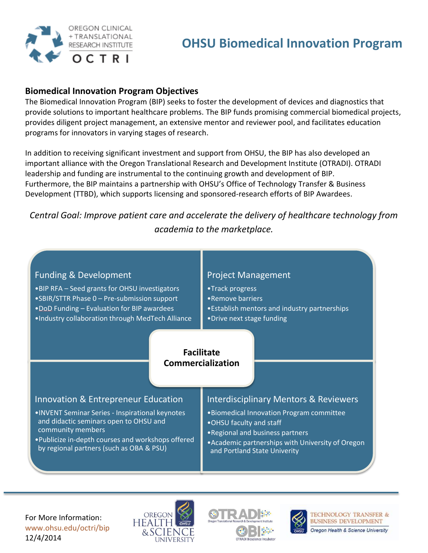

# **Biomedical Innovation Program Objectives**

The Biomedical Innovation Program (BIP) seeks to foster the development of devices and diagnostics that provide solutions to important healthcare problems. The BIP funds promising commercial biomedical projects, provides diligent project management, an extensive mentor and reviewer pool, and facilitates education programs for innovators in varying stages of research.

In addition to receiving significant investment and support from OHSU, the BIP has also developed an important alliance with the Oregon Translational Research and Development Institute (OTRADI). OTRADI leadership and funding are instrumental to the continuing growth and development of BIP. Furthermore, the BIP maintains a partnership with OHSU's Office of Technology Transfer & Business Development (TTBD), which supports licensing and sponsored-research efforts of BIP Awardees.

# *Central Goal: Improve patient care and accelerate the delivery of healthcare technology from academia to the marketplace.*

# Funding & Development

•BIP RFA – Seed grants for OHSU investigators •SBIR/STTR Phase 0 – Pre-submission support •DoD Funding – Evaluation for BIP awardees •Industry collaboration through MedTech Alliance

## Project Management

- •Track progress
- •Remove barriers
- •Establish mentors and industry partnerships
- •Drive next stage funding

### **Facilitate Commercialization**

## Innovation & Entrepreneur Education

- •INVENT Seminar Series Inspirational keynotes and didactic seminars open to OHSU and community members
- •Publicize in-depth courses and workshops offered by regional partners (such as OBA & PSU)

# Interdisciplinary Mentors & Reviewers

- •Biomedical Innovation Program committee
- •OHSU faculty and staff
- •Regional and business partners
- •Academic partnerships with University of Oregon and Portland State Univerity







**TECHNOLOGY TRANSFER & BUSINESS DEVELOPMENT** Oregon Health & Science University